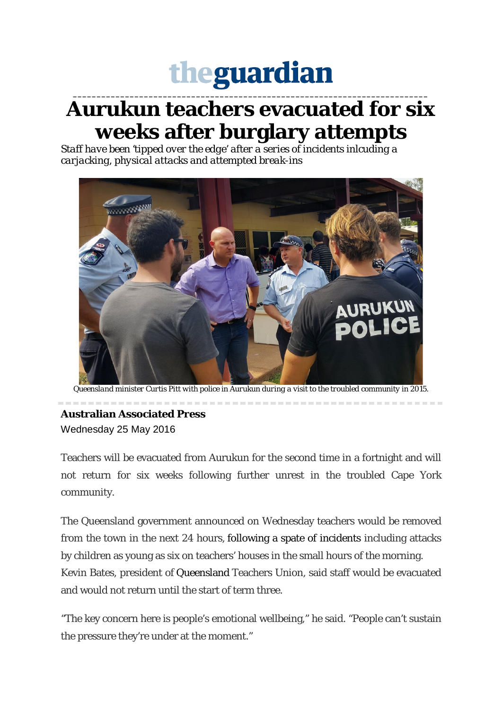## theguardian

**\_\_\_\_\_\_\_\_\_\_\_\_\_\_\_\_\_\_\_\_\_\_\_\_\_\_\_\_\_\_\_\_\_\_\_\_\_\_\_\_\_\_\_\_\_\_\_\_\_\_\_\_\_\_\_\_\_\_\_\_\_\_\_\_\_\_\_\_\_\_\_\_\_\_\_**

## **Aurukun teachers evacuated for six weeks after burglary attempts**

*Staff have been 'tipped over the edge' after a series of incidents inlcuding a carjacking, physical attacks and attempted break-ins*



*Queensland minister Curtis Pitt with police in Aurukun during a visit to the troubled community in 2015.*

## **Australian Associated Press** Wednesday 25 May 2016

Teachers will be evacuated from Aurukun for the second time in a fortnight and will not return for six weeks following further unrest in the troubled Cape York community.

The Queensland government announced on Wednesday teachers would be removed from the town in the next 24 hours, following a spate of incidents including attacks by children as young as six on teachers' houses in the small hours of the morning. Kevin Bates, president of Queensland Teachers Union, said staff would be evacuated and would not return until the start of term three.

"The key concern here is people's emotional wellbeing," he said. "People can't sustain the pressure they're under at the moment."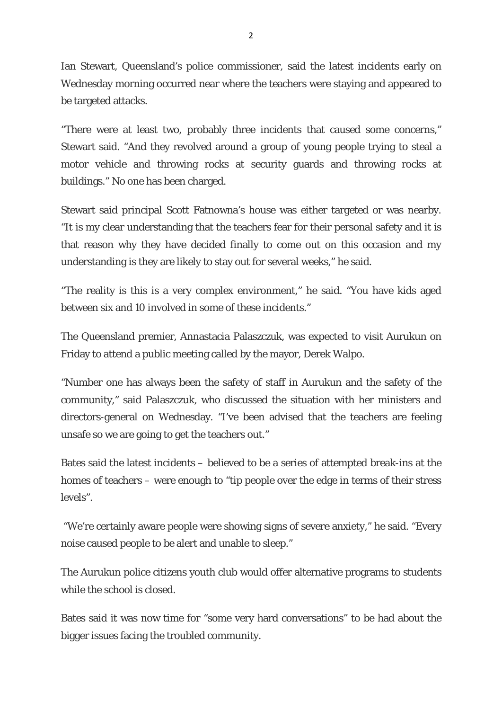Ian Stewart, Queensland's police commissioner, said the latest incidents early on Wednesday morning occurred near where the teachers were staying and appeared to be targeted attacks.

"There were at least two, probably three incidents that caused some concerns," Stewart said. "And they revolved around a group of young people trying to steal a motor vehicle and throwing rocks at security guards and throwing rocks at buildings." No one has been charged.

Stewart said principal Scott Fatnowna's house was either targeted or was nearby. "It is my clear understanding that the teachers fear for their personal safety and it is that reason why they have decided finally to come out on this occasion and my understanding is they are likely to stay out for several weeks," he said.

"The reality is this is a very complex environment," he said. "You have kids aged between six and 10 involved in some of these incidents."

The Queensland premier, Annastacia Palaszczuk, was expected to visit Aurukun on Friday to attend a public meeting called by the mayor, Derek Walpo.

"Number one has always been the safety of staff in Aurukun and the safety of the community," said Palaszczuk, who discussed the situation with her ministers and directors-general on Wednesday. "I've been advised that the teachers are feeling unsafe so we are going to get the teachers out."

Bates said the latest incidents – believed to be a series of attempted break-ins at the homes of teachers – were enough to "tip people over the edge in terms of their stress levels".

"We're certainly aware people were showing signs of severe anxiety," he said. "Every noise caused people to be alert and unable to sleep."

The Aurukun police citizens youth club would offer alternative programs to students while the school is closed.

Bates said it was now time for "some very hard conversations" to be had about the bigger issues facing the troubled community.